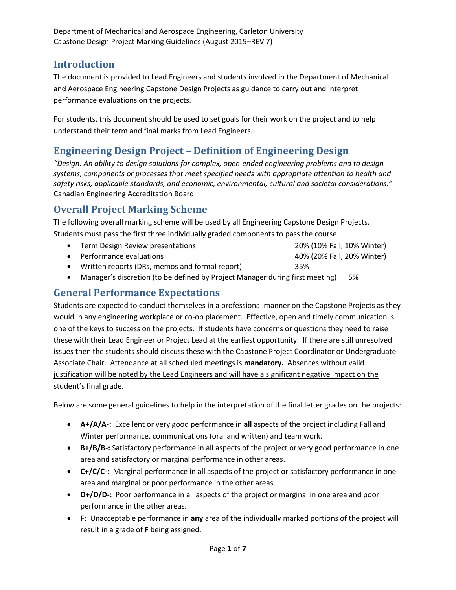### **Introduction**

The document is provided to Lead Engineers and students involved in the Department of Mechanical and Aerospace Engineering Capstone Design Projects as guidance to carry out and interpret performance evaluations on the projects.

For students, this document should be used to set goals for their work on the project and to help understand their term and final marks from Lead Engineers.

## **Engineering Design Project – Definition of Engineering Design**

*"Design: An ability to design solutions for complex, open-ended engineering problems and to design systems, components or processes that meet specified needs with appropriate attention to health and safety risks, applicable standards, and economic, environmental, cultural and societal considerations."* Canadian Engineering Accreditation Board

## **Overall Project Marking Scheme**

The following overall marking scheme will be used by all Engineering Capstone Design Projects. Students must pass the first three individually graded components to pass the course.

- Term Design Review presentations 20% (10% Fall, 10% Winter)
- Performance evaluations 40% (20% Fall, 20% Winter)
- Written reports (DRs, memos and formal report) 35%
- Manager's discretion (to be defined by Project Manager during first meeting) 5%

### **General Performance Expectations**

Students are expected to conduct themselves in a professional manner on the Capstone Projects as they would in any engineering workplace or co-op placement. Effective, open and timely communication is one of the keys to success on the projects. If students have concerns or questions they need to raise these with their Lead Engineer or Project Lead at the earliest opportunity. If there are still unresolved issues then the students should discuss these with the Capstone Project Coordinator or Undergraduate Associate Chair. Attendance at all scheduled meetings is **mandatory.** Absences without valid justification will be noted by the Lead Engineers and will have a significant negative impact on the student's final grade.

Below are some general guidelines to help in the interpretation of the final letter grades on the projects:

- **A+/A/A-:** Excellent or very good performance in **all** aspects of the project including Fall and Winter performance, communications (oral and written) and team work.
- **B+/B/B-:** Satisfactory performance in all aspects of the project or very good performance in one area and satisfactory or marginal performance in other areas.
- **C+/C/C-:** Marginal performance in all aspects of the project or satisfactory performance in one area and marginal or poor performance in the other areas.
- **D+/D/D-:** Poor performance in all aspects of the project or marginal in one area and poor performance in the other areas.
- **F:** Unacceptable performance in **any** area of the individually marked portions of the project will result in a grade of **F** being assigned.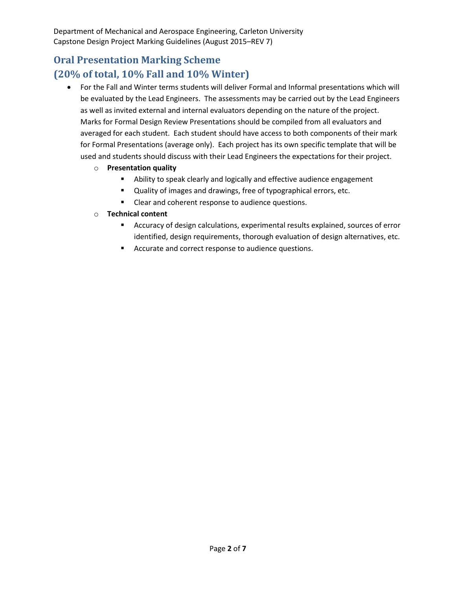## **Oral Presentation Marking Scheme (20% of total, 10% Fall and 10% Winter)**

- For the Fall and Winter terms students will deliver Formal and Informal presentations which will be evaluated by the Lead Engineers. The assessments may be carried out by the Lead Engineers as well as invited external and internal evaluators depending on the nature of the project. Marks for Formal Design Review Presentations should be compiled from all evaluators and averaged for each student. Each student should have access to both components of their mark for Formal Presentations (average only). Each project has its own specific template that will be used and students should discuss with their Lead Engineers the expectations for their project.
	- o **Presentation quality**
		- Ability to speak clearly and logically and effective audience engagement
		- Quality of images and drawings, free of typographical errors, etc.
		- **EXECLE** Clear and coherent response to audience questions.
	- o **Technical content**
		- Accuracy of design calculations, experimental results explained, sources of error identified, design requirements, thorough evaluation of design alternatives, etc.
		- Accurate and correct response to audience questions.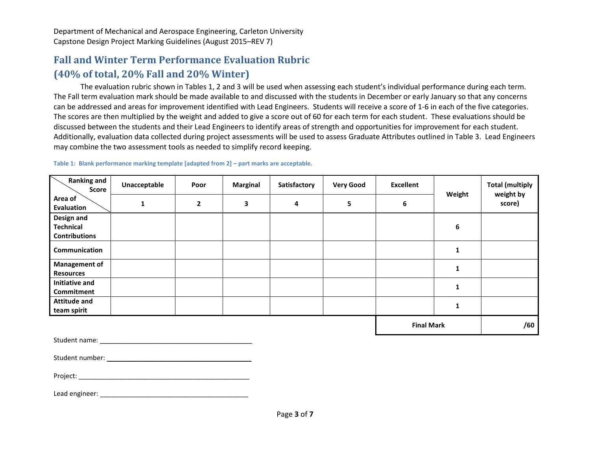## **Fall and Winter Term Performance Evaluation Rubric (40% of total, 20% Fall and 20% Winter)**

The evaluation rubric shown in Tables 1, 2 and 3 will be used when assessing each student's individual performance during each term. The Fall term evaluation mark should be made available to and discussed with the students in December or early January so that any concerns can be addressed and areas for improvement identified with Lead Engineers. Students will receive a score of 1-6 in each of the five categories. The scores are then multiplied by the weight and added to give a score out of 60 for each term for each student. These evaluations should be discussed between the students and their Lead Engineers to identify areas of strength and opportunities for improvement for each student. Additionally, evaluation data collected during project assessments will be used to assess Graduate Attributes outlined in Table 3. Lead Engineers may combine the two assessment tools as needed to simplify record keeping.

| <b>Ranking and</b><br>Score                            | Unacceptable | Poor           | <b>Marginal</b> | Satisfactory | <b>Very Good</b>  | <b>Excellent</b> | Weight | <b>Total (multiply</b><br>weight by<br>score) |
|--------------------------------------------------------|--------------|----------------|-----------------|--------------|-------------------|------------------|--------|-----------------------------------------------|
| Area of<br>Evaluation                                  | 1            | $\overline{2}$ | 3               | 4            | 5                 | 6                |        |                                               |
| Design and<br><b>Technical</b><br><b>Contributions</b> |              |                |                 |              |                   |                  | 6      |                                               |
| Communication                                          |              |                |                 |              |                   |                  |        |                                               |
| <b>Management of</b><br><b>Resources</b>               |              |                |                 |              |                   |                  |        |                                               |
| <b>Initiative and</b><br>Commitment                    |              |                |                 |              |                   |                  |        |                                               |
| <b>Attitude and</b><br>team spirit                     |              |                |                 |              |                   |                  |        |                                               |
|                                                        |              |                |                 |              | <b>Final Mark</b> |                  | /60    |                                               |

**Table 1: Blank performance marking template [adapted from 2] – part marks are acceptable.**

Student number: \_\_\_\_\_\_\_\_\_\_\_\_\_\_\_\_\_\_\_\_\_\_\_\_\_\_\_\_\_\_\_\_\_\_\_\_\_\_\_

Project:

Lead engineer: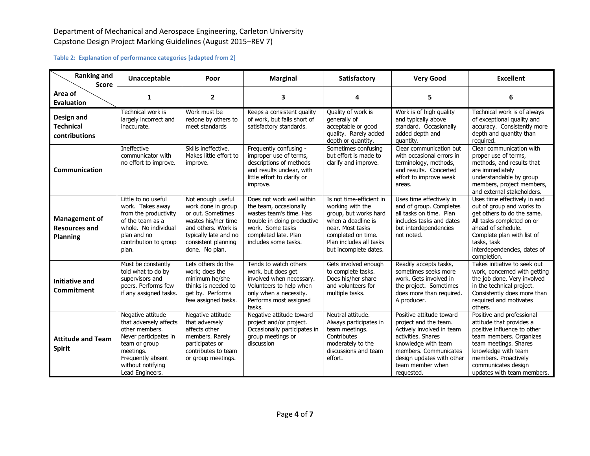#### **Table 2: Explanation of performance categories [adapted from 2]**

| <b>Ranking and</b><br><b>Score</b>                       | Unacceptable                                                                                                                                                                      | Poor                                                                                                                                                                         | <b>Marginal</b>                                                                                                                                                                   | Satisfactory                                                                                                                                                                              | <b>Very Good</b>                                                                                                                                                                                                    | <b>Excellent</b>                                                                                                                                                                                                                             |  |
|----------------------------------------------------------|-----------------------------------------------------------------------------------------------------------------------------------------------------------------------------------|------------------------------------------------------------------------------------------------------------------------------------------------------------------------------|-----------------------------------------------------------------------------------------------------------------------------------------------------------------------------------|-------------------------------------------------------------------------------------------------------------------------------------------------------------------------------------------|---------------------------------------------------------------------------------------------------------------------------------------------------------------------------------------------------------------------|----------------------------------------------------------------------------------------------------------------------------------------------------------------------------------------------------------------------------------------------|--|
| Area of<br>Evaluation                                    | 1                                                                                                                                                                                 | $\overline{2}$                                                                                                                                                               | 3                                                                                                                                                                                 | 4                                                                                                                                                                                         | 5                                                                                                                                                                                                                   | 6                                                                                                                                                                                                                                            |  |
| Design and<br><b>Technical</b><br>contributions          | Technical work is<br>largely incorrect and<br>inaccurate.                                                                                                                         | Work must be<br>redone by others to<br>meet standards                                                                                                                        | Keeps a consistent quality<br>of work, but falls short of<br>satisfactory standards.                                                                                              | Quality of work is<br>generally of<br>acceptable or good<br>quality. Rarely added<br>depth or quantity.                                                                                   | Work is of high quality<br>and typically above<br>standard. Occasionally<br>added depth and<br>quantity.                                                                                                            | Technical work is of always<br>of exceptional quality and<br>accuracy. Consistently more<br>depth and quantity than<br>required.                                                                                                             |  |
| Communication                                            | <b>Ineffective</b><br>communicator with<br>no effort to improve.                                                                                                                  | Skills ineffective.<br>Makes little effort to<br>improve.                                                                                                                    | Frequently confusing -<br>improper use of terms,<br>descriptions of methods<br>and results unclear, with<br>little effort to clarify or<br>improve.                               | Sometimes confusing<br>but effort is made to<br>clarify and improve.                                                                                                                      | Clear communication but<br>with occasional errors in<br>terminology, methods,<br>and results. Concerted<br>effort to improve weak<br>areas.                                                                         | Clear communication with<br>proper use of terms,<br>methods, and results that<br>are immediately<br>understandable by group<br>members, project members,<br>and external stakeholders.                                                       |  |
| Management of<br><b>Resources and</b><br><b>Planning</b> | Little to no useful<br>work. Takes away<br>from the productivity<br>of the team as a<br>whole. No individual<br>plan and no<br>contribution to group<br>plan.                     | Not enough useful<br>work done in group<br>or out. Sometimes<br>wastes his/her time<br>and others. Work is<br>typically late and no<br>consistent planning<br>done. No plan. | Does not work well within<br>the team, occasionally<br>wastes team's time. Has<br>trouble in doing productive<br>work. Some tasks<br>completed late. Plan<br>includes some tasks. | Is not time-efficient in<br>working with the<br>group, but works hard<br>when a deadline is<br>near. Most tasks<br>completed on time.<br>Plan includes all tasks<br>but incomplete dates. | Uses time effectively in<br>and of group. Completes<br>all tasks on time. Plan<br>includes tasks and dates<br>but interdependencies<br>not noted.                                                                   | Uses time effectively in and<br>out of group and works to<br>get others to do the same.<br>All tasks completed on or<br>ahead of schedule.<br>Complete plan with list of<br>tasks, task<br>interdependencies, dates of<br>completion.        |  |
| <b>Initiative and</b><br>Commitment                      | Must be constantly<br>told what to do by<br>supervisors and<br>peers. Performs few<br>if any assigned tasks.                                                                      | Lets others do the<br>work; does the<br>minimum he/she<br>thinks is needed to<br>get by. Performs<br>few assigned tasks.                                                     | Tends to watch others<br>work, but does get<br>involved when necessary.<br>Volunteers to help when<br>only when a necessity.<br>Performs most assigned<br>tasks.                  | Gets involved enough<br>to complete tasks.<br>Does his/her share<br>and volunteers for<br>multiple tasks.                                                                                 | Readily accepts tasks,<br>sometimes seeks more<br>work. Gets involved in<br>the project. Sometimes<br>does more than required.<br>A producer.                                                                       | Takes initiative to seek out<br>work, concerned with getting<br>the job done. Very involved<br>in the technical project.<br>Consistently does more than<br>required and motivates<br>others.                                                 |  |
| <b>Attitude and Team</b><br><b>Spirit</b>                | Negative attitude<br>that adversely affects<br>other members.<br>Never participates in<br>team or group<br>meetings.<br>Frequently absent<br>without notifying<br>Lead Engineers. | Negative attitude<br>that adversely<br>affects other<br>members. Rarely<br>participates or<br>contributes to team<br>or group meetings.                                      | Negative attitude toward<br>project and/or project.<br>Occasionally participates in<br>group meetings or<br>discussion                                                            | Neutral attitude.<br>Always participates in<br>team meetings.<br>Contributes<br>moderately to the<br>discussions and team<br>effort.                                                      | Positive attitude toward<br>project and the team.<br>Actively involved in team<br>activities. Shares<br>knowledge with team<br>members. Communicates<br>design updates with other<br>team member when<br>requested. | Positive and professional<br>attitude that provides a<br>positive influence to other<br>team members. Organizes<br>team meetings. Shares<br>knowledge with team<br>members. Proactively<br>communicates design<br>updates with team members. |  |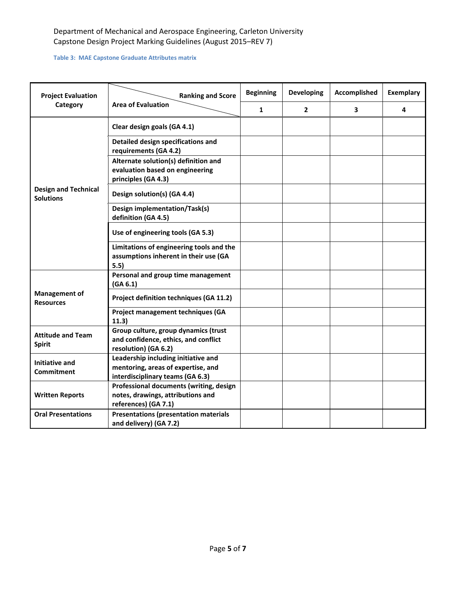#### **Table 3: MAE Capstone Graduate Attributes matrix**

| <b>Project Evaluation</b>                       | <b>Ranking and Score</b>                                                                                      | <b>Beginning</b> | <b>Developing</b> | <b>Accomplished</b> | <b>Exemplary</b> |
|-------------------------------------------------|---------------------------------------------------------------------------------------------------------------|------------------|-------------------|---------------------|------------------|
| Category                                        | <b>Area of Evaluation</b>                                                                                     | 1                | $\mathbf{2}$      | 3                   | 4                |
|                                                 | Clear design goals (GA 4.1)                                                                                   |                  |                   |                     |                  |
|                                                 | Detailed design specifications and<br>requirements (GA 4.2)                                                   |                  |                   |                     |                  |
|                                                 | Alternate solution(s) definition and<br>evaluation based on engineering<br>principles (GA 4.3)                |                  |                   |                     |                  |
| <b>Design and Technical</b><br><b>Solutions</b> | Design solution(s) (GA 4.4)                                                                                   |                  |                   |                     |                  |
|                                                 | <b>Design implementation/Task(s)</b><br>definition (GA 4.5)                                                   |                  |                   |                     |                  |
|                                                 | Use of engineering tools (GA 5.3)                                                                             |                  |                   |                     |                  |
|                                                 | Limitations of engineering tools and the<br>assumptions inherent in their use (GA<br>5.5)                     |                  |                   |                     |                  |
|                                                 | Personal and group time management<br>(GA 6.1)                                                                |                  |                   |                     |                  |
| <b>Management of</b><br><b>Resources</b>        | Project definition techniques (GA 11.2)                                                                       |                  |                   |                     |                  |
|                                                 | Project management techniques (GA<br>11.3)                                                                    |                  |                   |                     |                  |
| <b>Attitude and Team</b><br><b>Spirit</b>       | Group culture, group dynamics (trust<br>and confidence, ethics, and conflict<br>resolution) (GA 6.2)          |                  |                   |                     |                  |
| <b>Initiative and</b><br><b>Commitment</b>      | Leadership including initiative and<br>mentoring, areas of expertise, and<br>interdisciplinary teams (GA 6.3) |                  |                   |                     |                  |
| <b>Written Reports</b>                          | Professional documents (writing, design<br>notes, drawings, attributions and<br>references) (GA 7.1)          |                  |                   |                     |                  |
| <b>Oral Presentations</b>                       | <b>Presentations (presentation materials</b><br>and delivery) (GA 7.2)                                        |                  |                   |                     |                  |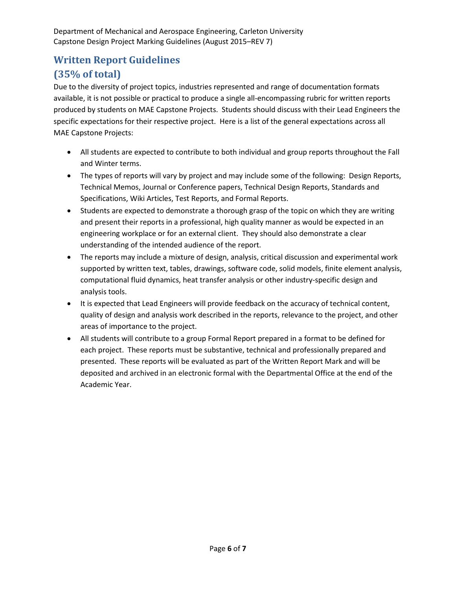# **Written Report Guidelines (35% of total)**

Due to the diversity of project topics, industries represented and range of documentation formats available, it is not possible or practical to produce a single all-encompassing rubric for written reports produced by students on MAE Capstone Projects. Students should discuss with their Lead Engineers the specific expectations for their respective project. Here is a list of the general expectations across all MAE Capstone Projects:

- All students are expected to contribute to both individual and group reports throughout the Fall and Winter terms.
- The types of reports will vary by project and may include some of the following: Design Reports, Technical Memos, Journal or Conference papers, Technical Design Reports, Standards and Specifications, Wiki Articles, Test Reports, and Formal Reports.
- Students are expected to demonstrate a thorough grasp of the topic on which they are writing and present their reports in a professional, high quality manner as would be expected in an engineering workplace or for an external client. They should also demonstrate a clear understanding of the intended audience of the report.
- The reports may include a mixture of design, analysis, critical discussion and experimental work supported by written text, tables, drawings, software code, solid models, finite element analysis, computational fluid dynamics, heat transfer analysis or other industry-specific design and analysis tools.
- It is expected that Lead Engineers will provide feedback on the accuracy of technical content, quality of design and analysis work described in the reports, relevance to the project, and other areas of importance to the project.
- All students will contribute to a group Formal Report prepared in a format to be defined for each project. These reports must be substantive, technical and professionally prepared and presented. These reports will be evaluated as part of the Written Report Mark and will be deposited and archived in an electronic formal with the Departmental Office at the end of the Academic Year.